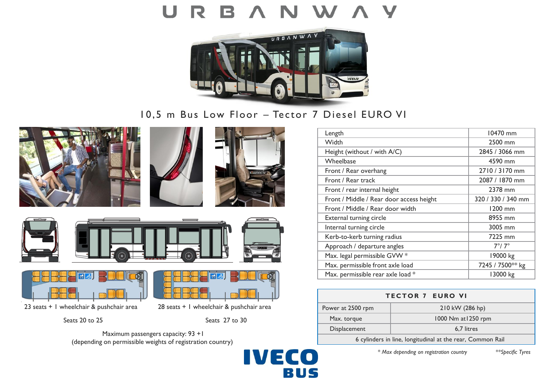# U



10,5 m Bus Low Floor – Tector 7 Diesel EURO VI











23 seats + 1 wheelchair & pushchair area 28 seats + 1 wheelchair & pushchair area

Seats 20 to 25 Seats 27 to 30

Maximum passengers capacity: 93 +1 (depending on permissible weights of registration country)



| Length                                   | 10470 mm           |
|------------------------------------------|--------------------|
| Width                                    | 2500 mm            |
| Height (without / with A/C)              | 2845 / 3066 mm     |
| Wheelbase                                | 4590 mm            |
| Front / Rear overhang                    | 2710 / 3170 mm     |
| Front / Rear track                       | 2087 / 1870 mm     |
| Front / rear internal height             | 2378 mm            |
| Front / Middle / Rear door access height | 320 / 330 / 340 mm |
| Front / Middle / Rear door width         | 1200 mm            |
| External turning circle                  | 8955 mm            |
| Internal turning circle                  | 3005 mm            |
| Kerb-to-kerb turning radius              | 7225 mm            |
| Approach / departure angles              | $7^\circ/7^\circ$  |
| Max. legal permissible GVW *             | 19000 kg           |
| Max. permissible front axle load         | 7245 / 7500** kg   |
| Max. permissible rear axle load *        | 13000 kg           |

| <b>TECTOR 7 EURO VI</b>                                    |                     |  |  |
|------------------------------------------------------------|---------------------|--|--|
| Power at 2500 rpm                                          | 210 kW (286 hp)     |  |  |
| Max. torque                                                | 1000 Nm at 1250 rpm |  |  |
| Displacement                                               | 6.7 litres          |  |  |
| 6 cylinders in line, longitudinal at the rear, Common Rail |                     |  |  |

*\* Max depending on registration country \*\*Specific Tyres*